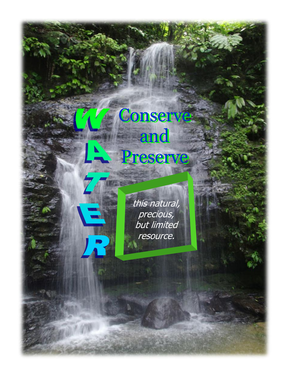## Conserve and Preserve

this natural, precious, but limited resource.